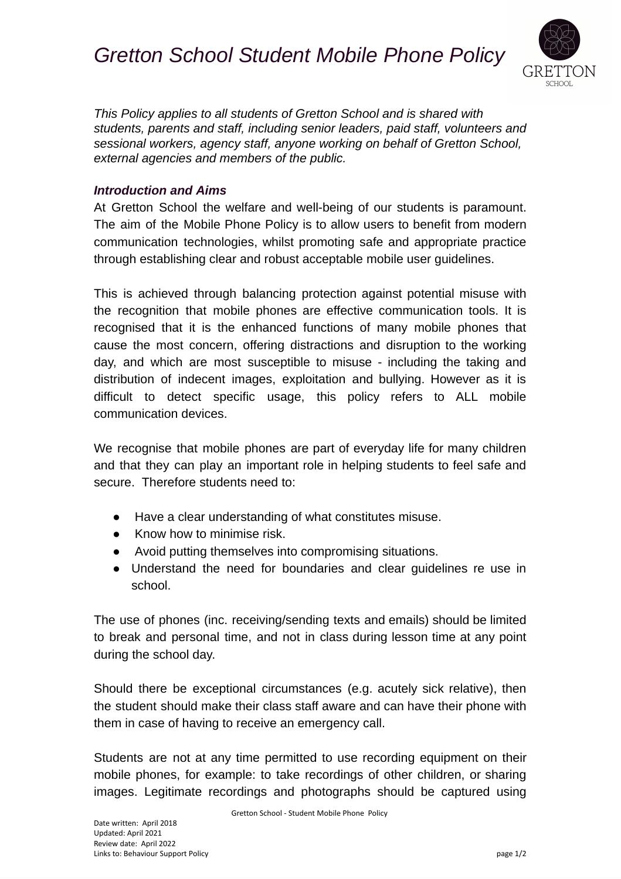## *Gretton School Student Mobile Phone Policy*



*This Policy applies to all students of Gretton School and is shared with students, parents and staff, including senior leaders, paid staff, volunteers and sessional workers, agency staff, anyone working on behalf of Gretton School, external agencies and members of the public.*

## *Introduction and Aims*

At Gretton School the welfare and well-being of our students is paramount. The aim of the Mobile Phone Policy is to allow users to benefit from modern communication technologies, whilst promoting safe and appropriate practice through establishing clear and robust acceptable mobile user guidelines.

This is achieved through balancing protection against potential misuse with the recognition that mobile phones are effective communication tools. It is recognised that it is the enhanced functions of many mobile phones that cause the most concern, offering distractions and disruption to the working day, and which are most susceptible to misuse - including the taking and distribution of indecent images, exploitation and bullying. However as it is difficult to detect specific usage, this policy refers to ALL mobile communication devices.

We recognise that mobile phones are part of everyday life for many children and that they can play an important role in helping students to feel safe and secure. Therefore students need to:

- Have a clear understanding of what constitutes misuse.
- Know how to minimise risk.
- Avoid putting themselves into compromising situations.
- Understand the need for boundaries and clear guidelines re use in school.

The use of phones (inc. receiving/sending texts and emails) should be limited to break and personal time, and not in class during lesson time at any point during the school day.

Should there be exceptional circumstances (e.g. acutely sick relative), then the student should make their class staff aware and can have their phone with them in case of having to receive an emergency call.

Students are not at any time permitted to use recording equipment on their mobile phones, for example: to take recordings of other children, or sharing images. Legitimate recordings and photographs should be captured using